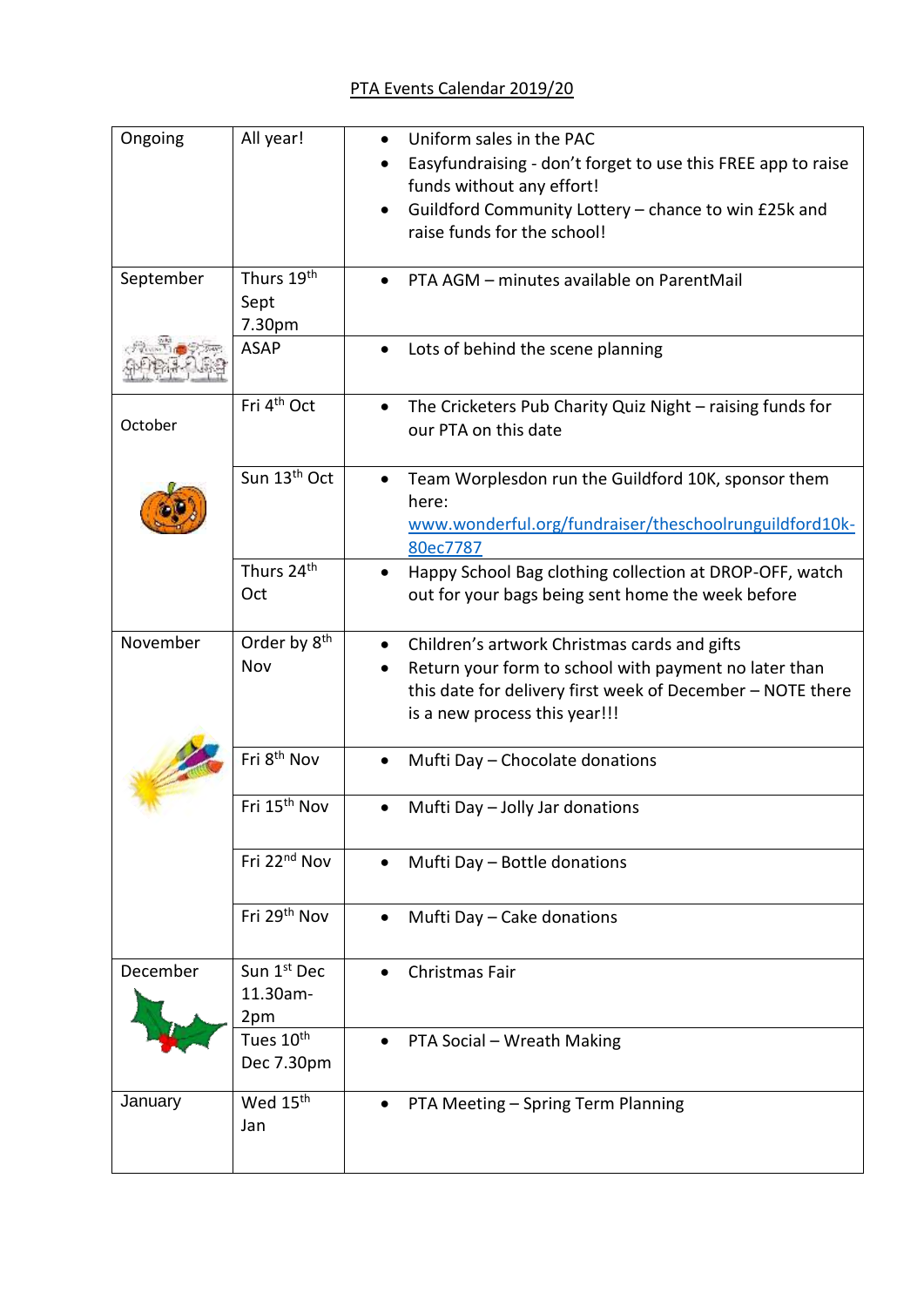| Ongoing   | All year!                    | Uniform sales in the PAC                                                                  |
|-----------|------------------------------|-------------------------------------------------------------------------------------------|
|           |                              | Easyfundraising - don't forget to use this FREE app to raise<br>funds without any effort! |
|           |                              | Guildford Community Lottery - chance to win £25k and                                      |
|           |                              | raise funds for the school!                                                               |
|           |                              |                                                                                           |
| September | Thurs 19 <sup>th</sup>       | PTA AGM - minutes available on ParentMail                                                 |
|           | Sept                         |                                                                                           |
|           | 7.30pm<br><b>ASAP</b>        | Lots of behind the scene planning                                                         |
|           |                              |                                                                                           |
| October   | Fri 4 <sup>th</sup> Oct      | The Cricketers Pub Charity Quiz Night - raising funds for<br>$\bullet$                    |
|           |                              | our PTA on this date                                                                      |
|           | Sun 13 <sup>th</sup> Oct     | Team Worplesdon run the Guildford 10K, sponsor them                                       |
|           |                              | here:                                                                                     |
|           |                              | www.wonderful.org/fundraiser/theschoolrunguildford10k-                                    |
|           |                              | 80ec7787                                                                                  |
|           | Thurs 24 <sup>th</sup>       | Happy School Bag clothing collection at DROP-OFF, watch                                   |
|           | Oct                          | out for your bags being sent home the week before                                         |
| November  | Order by 8 <sup>th</sup>     | Children's artwork Christmas cards and gifts<br>$\bullet$                                 |
|           | Nov                          | Return your form to school with payment no later than                                     |
|           |                              | this date for delivery first week of December - NOTE there                                |
|           |                              | is a new process this year!!!                                                             |
|           | Fri 8 <sup>th</sup> Nov      |                                                                                           |
|           |                              | Mufti Day - Chocolate donations                                                           |
|           | Fri 15 <sup>th</sup> Nov     | Mufti Day - Jolly Jar donations                                                           |
|           |                              |                                                                                           |
|           | Fri 22 <sup>nd</sup> Nov     | Mufti Day - Bottle donations                                                              |
|           |                              |                                                                                           |
|           | Fri 29 <sup>th</sup> Nov     | Mufti Day - Cake donations                                                                |
|           |                              |                                                                                           |
| December  | Sun 1st Dec                  | Christmas Fair                                                                            |
|           | 11.30am-                     |                                                                                           |
|           | 2pm<br>Tues 10 <sup>th</sup> |                                                                                           |
|           | Dec 7.30pm                   | PTA Social - Wreath Making                                                                |
|           |                              |                                                                                           |
| January   | Wed 15 <sup>th</sup>         | PTA Meeting - Spring Term Planning                                                        |
|           | Jan                          |                                                                                           |
|           |                              |                                                                                           |